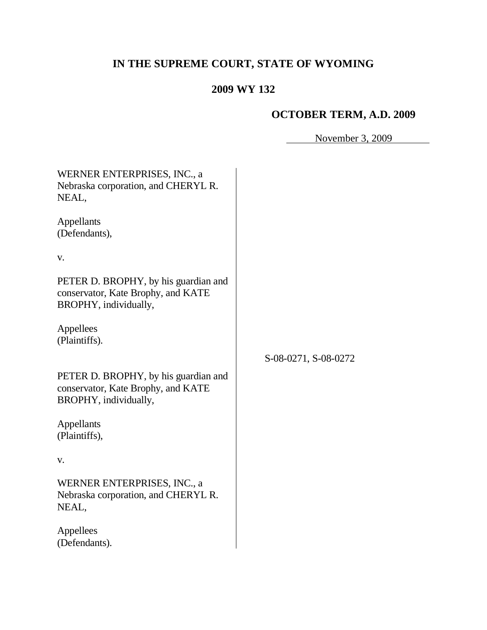# **IN THE SUPREME COURT, STATE OF WYOMING**

# **2009 WY 132**

# **OCTOBER TERM, A.D. 2009**

November 3, 2009

| WERNER ENTERPRISES, INC., a<br>Nebraska corporation, and CHERYL R.<br>NEAL,                         |                      |
|-----------------------------------------------------------------------------------------------------|----------------------|
| Appellants<br>(Defendants),                                                                         |                      |
| V.                                                                                                  |                      |
| PETER D. BROPHY, by his guardian and<br>conservator, Kate Brophy, and KATE<br>BROPHY, individually, |                      |
| Appellees<br>(Plaintiffs).                                                                          |                      |
|                                                                                                     | S-08-0271, S-08-0272 |
| PETER D. BROPHY, by his guardian and<br>conservator, Kate Brophy, and KATE<br>BROPHY, individually, |                      |
| Appellants<br>(Plaintiffs),                                                                         |                      |
| V.                                                                                                  |                      |
| WERNER ENTERPRISES, INC., a<br>Nebraska corporation, and CHERYL R.<br>NEAL,                         |                      |
| Appellees<br>(Defendants).                                                                          |                      |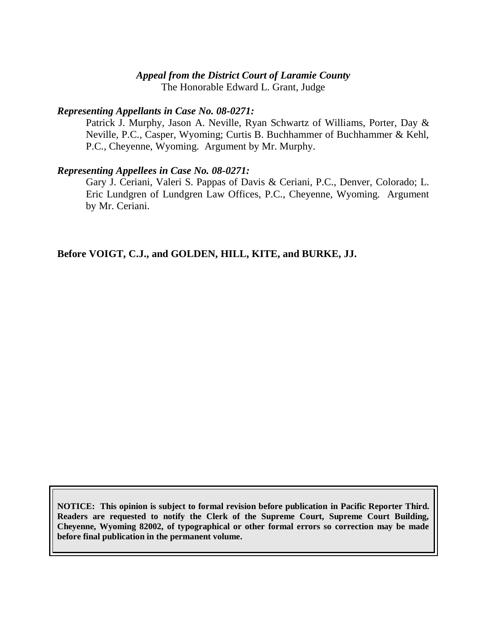#### *Appeal from the District Court of Laramie County*

The Honorable Edward L. Grant, Judge

#### *Representing Appellants in Case No. 08-0271:*

Patrick J. Murphy, Jason A. Neville, Ryan Schwartz of Williams, Porter, Day & Neville, P.C., Casper, Wyoming; Curtis B. Buchhammer of Buchhammer & Kehl, P.C., Cheyenne, Wyoming. Argument by Mr. Murphy.

#### *Representing Appellees in Case No. 08-0271:*

Gary J. Ceriani, Valeri S. Pappas of Davis & Ceriani, P.C., Denver, Colorado; L. Eric Lundgren of Lundgren Law Offices, P.C., Cheyenne, Wyoming. Argument by Mr. Ceriani.

**Before VOIGT, C.J., and GOLDEN, HILL, KITE, and BURKE, JJ.**

**NOTICE: This opinion is subject to formal revision before publication in Pacific Reporter Third. Readers are requested to notify the Clerk of the Supreme Court, Supreme Court Building, Cheyenne, Wyoming 82002, of typographical or other formal errors so correction may be made before final publication in the permanent volume.**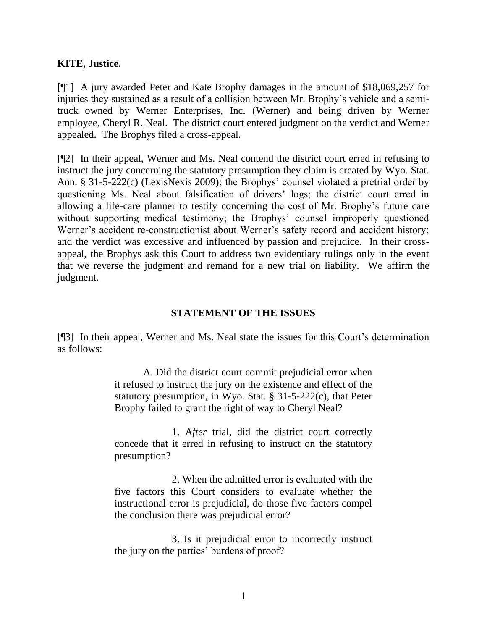### **KITE, Justice.**

[¶1] A jury awarded Peter and Kate Brophy damages in the amount of \$18,069,257 for injuries they sustained as a result of a collision between Mr. Brophy's vehicle and a semitruck owned by Werner Enterprises, Inc. (Werner) and being driven by Werner employee, Cheryl R. Neal. The district court entered judgment on the verdict and Werner appealed. The Brophys filed a cross-appeal.

[¶2] In their appeal, Werner and Ms. Neal contend the district court erred in refusing to instruct the jury concerning the statutory presumption they claim is created by Wyo. Stat. Ann. § 31-5-222(c) (LexisNexis 2009); the Brophys' counsel violated a pretrial order by questioning Ms. Neal about falsification of drivers' logs; the district court erred in allowing a life-care planner to testify concerning the cost of Mr. Brophy's future care without supporting medical testimony; the Brophys' counsel improperly questioned Werner's accident re-constructionist about Werner's safety record and accident history; and the verdict was excessive and influenced by passion and prejudice. In their crossappeal, the Brophys ask this Court to address two evidentiary rulings only in the event that we reverse the judgment and remand for a new trial on liability. We affirm the judgment.

### **STATEMENT OF THE ISSUES**

[¶3] In their appeal, Werner and Ms. Neal state the issues for this Court's determination as follows:

> A. Did the district court commit prejudicial error when it refused to instruct the jury on the existence and effect of the statutory presumption, in Wyo. Stat. § 31-5-222(c), that Peter Brophy failed to grant the right of way to Cheryl Neal?

> 1. A*fter* trial, did the district court correctly concede that it erred in refusing to instruct on the statutory presumption?

> 2. When the admitted error is evaluated with the five factors this Court considers to evaluate whether the instructional error is prejudicial, do those five factors compel the conclusion there was prejudicial error?

> 3. Is it prejudicial error to incorrectly instruct the jury on the parties' burdens of proof?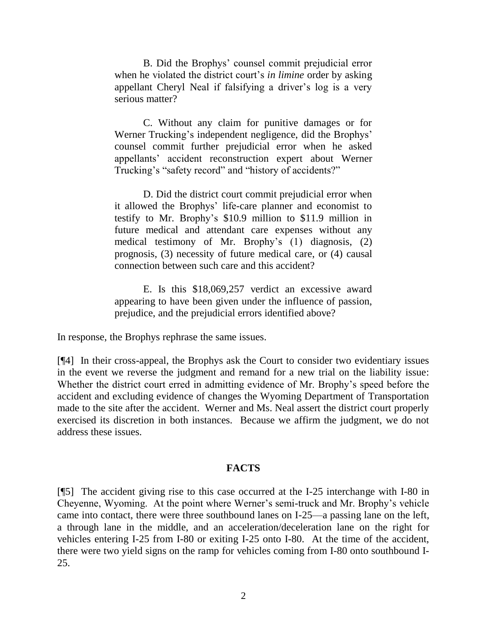B. Did the Brophys' counsel commit prejudicial error when he violated the district court's *in limine* order by asking appellant Cheryl Neal if falsifying a driver's log is a very serious matter?

C. Without any claim for punitive damages or for Werner Trucking's independent negligence, did the Brophys' counsel commit further prejudicial error when he asked appellants' accident reconstruction expert about Werner Trucking's "safety record" and "history of accidents?"

D. Did the district court commit prejudicial error when it allowed the Brophys' life-care planner and economist to testify to Mr. Brophy's \$10.9 million to \$11.9 million in future medical and attendant care expenses without any medical testimony of Mr. Brophy's (1) diagnosis, (2) prognosis, (3) necessity of future medical care, or (4) causal connection between such care and this accident?

E. Is this \$18,069,257 verdict an excessive award appearing to have been given under the influence of passion, prejudice, and the prejudicial errors identified above?

In response, the Brophys rephrase the same issues.

[¶4] In their cross-appeal, the Brophys ask the Court to consider two evidentiary issues in the event we reverse the judgment and remand for a new trial on the liability issue: Whether the district court erred in admitting evidence of Mr. Brophy's speed before the accident and excluding evidence of changes the Wyoming Department of Transportation made to the site after the accident. Werner and Ms. Neal assert the district court properly exercised its discretion in both instances. Because we affirm the judgment, we do not address these issues.

#### **FACTS**

[¶5] The accident giving rise to this case occurred at the I-25 interchange with I-80 in Cheyenne, Wyoming. At the point where Werner's semi-truck and Mr. Brophy's vehicle came into contact, there were three southbound lanes on I-25—a passing lane on the left, a through lane in the middle, and an acceleration/deceleration lane on the right for vehicles entering I-25 from I-80 or exiting I-25 onto I-80. At the time of the accident, there were two yield signs on the ramp for vehicles coming from I-80 onto southbound I-25.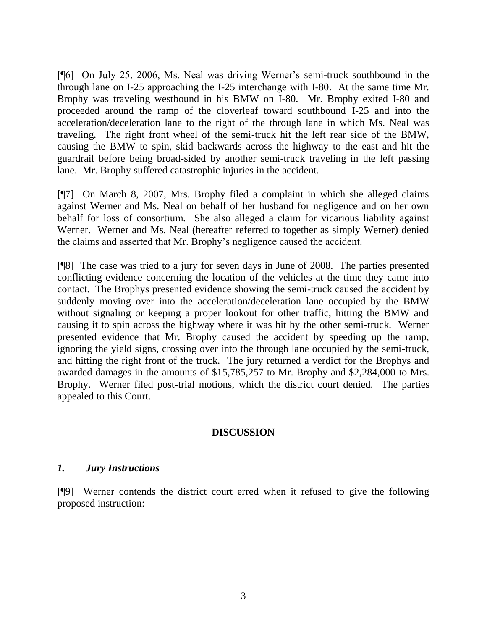[¶6] On July 25, 2006, Ms. Neal was driving Werner's semi-truck southbound in the through lane on I-25 approaching the I-25 interchange with I-80. At the same time Mr. Brophy was traveling westbound in his BMW on I-80. Mr. Brophy exited I-80 and proceeded around the ramp of the cloverleaf toward southbound I-25 and into the acceleration/deceleration lane to the right of the through lane in which Ms. Neal was traveling. The right front wheel of the semi-truck hit the left rear side of the BMW, causing the BMW to spin, skid backwards across the highway to the east and hit the guardrail before being broad-sided by another semi-truck traveling in the left passing lane. Mr. Brophy suffered catastrophic injuries in the accident.

[¶7] On March 8, 2007, Mrs. Brophy filed a complaint in which she alleged claims against Werner and Ms. Neal on behalf of her husband for negligence and on her own behalf for loss of consortium. She also alleged a claim for vicarious liability against Werner. Werner and Ms. Neal (hereafter referred to together as simply Werner) denied the claims and asserted that Mr. Brophy's negligence caused the accident.

[¶8] The case was tried to a jury for seven days in June of 2008. The parties presented conflicting evidence concerning the location of the vehicles at the time they came into contact. The Brophys presented evidence showing the semi-truck caused the accident by suddenly moving over into the acceleration/deceleration lane occupied by the BMW without signaling or keeping a proper lookout for other traffic, hitting the BMW and causing it to spin across the highway where it was hit by the other semi-truck. Werner presented evidence that Mr. Brophy caused the accident by speeding up the ramp, ignoring the yield signs, crossing over into the through lane occupied by the semi-truck, and hitting the right front of the truck. The jury returned a verdict for the Brophys and awarded damages in the amounts of \$15,785,257 to Mr. Brophy and \$2,284,000 to Mrs. Brophy. Werner filed post-trial motions, which the district court denied. The parties appealed to this Court.

## **DISCUSSION**

#### *1. Jury Instructions*

[¶9] Werner contends the district court erred when it refused to give the following proposed instruction: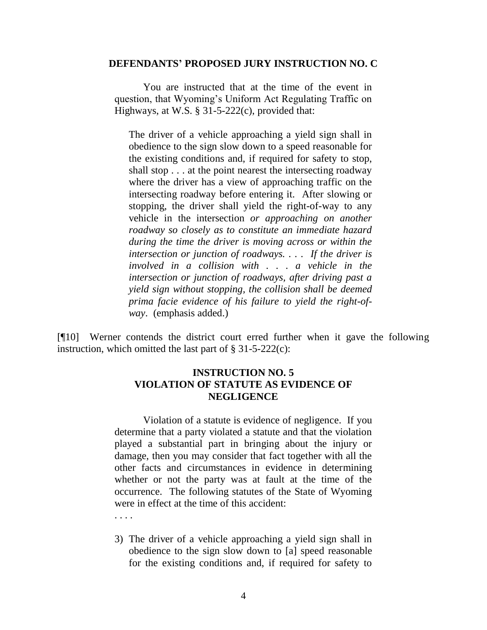#### **DEFENDANTS' PROPOSED JURY INSTRUCTION NO. C**

You are instructed that at the time of the event in question, that Wyoming's Uniform Act Regulating Traffic on Highways, at W.S. § 31-5-222(c), provided that:

The driver of a vehicle approaching a yield sign shall in obedience to the sign slow down to a speed reasonable for the existing conditions and, if required for safety to stop, shall stop . . . at the point nearest the intersecting roadway where the driver has a view of approaching traffic on the intersecting roadway before entering it. After slowing or stopping, the driver shall yield the right-of-way to any vehicle in the intersection *or approaching on another roadway so closely as to constitute an immediate hazard during the time the driver is moving across or within the intersection or junction of roadways. . . . If the driver is involved in a collision with . . . a vehicle in the intersection or junction of roadways, after driving past a yield sign without stopping, the collision shall be deemed prima facie evidence of his failure to yield the right-ofway*. (emphasis added.)

[¶10] Werner contends the district court erred further when it gave the following instruction, which omitted the last part of  $\S 31-5-222(c)$ :

### **INSTRUCTION NO. 5 VIOLATION OF STATUTE AS EVIDENCE OF NEGLIGENCE**

Violation of a statute is evidence of negligence. If you determine that a party violated a statute and that the violation played a substantial part in bringing about the injury or damage, then you may consider that fact together with all the other facts and circumstances in evidence in determining whether or not the party was at fault at the time of the occurrence. The following statutes of the State of Wyoming were in effect at the time of this accident:

3) The driver of a vehicle approaching a yield sign shall in obedience to the sign slow down to [a] speed reasonable for the existing conditions and, if required for safety to

. . . .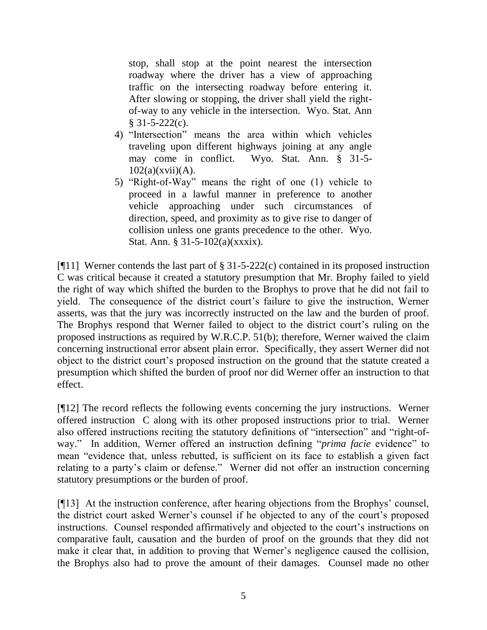stop, shall stop at the point nearest the intersection roadway where the driver has a view of approaching traffic on the intersecting roadway before entering it. After slowing or stopping, the driver shall yield the rightof-way to any vehicle in the intersection. Wyo. Stat. Ann § 31-5-222(c).

- 4) "Intersection" means the area within which vehicles traveling upon different highways joining at any angle may come in conflict. Wyo. Stat. Ann. § 31-5-  $102(a)(xvii)(A)$ .
- 5) "Right-of-Way" means the right of one  $(1)$  vehicle to proceed in a lawful manner in preference to another vehicle approaching under such circumstances of direction, speed, and proximity as to give rise to danger of collision unless one grants precedence to the other. Wyo. Stat. Ann. § 31-5-102(a)(xxxix).

[¶11] Werner contends the last part of § 31-5-222(c) contained in its proposed instruction C was critical because it created a statutory presumption that Mr. Brophy failed to yield the right of way which shifted the burden to the Brophys to prove that he did not fail to yield. The consequence of the district court's failure to give the instruction, Werner asserts, was that the jury was incorrectly instructed on the law and the burden of proof. The Brophys respond that Werner failed to object to the district court's ruling on the proposed instructions as required by W.R.C.P. 51(b); therefore, Werner waived the claim concerning instructional error absent plain error. Specifically, they assert Werner did not object to the district court's proposed instruction on the ground that the statute created a presumption which shifted the burden of proof nor did Werner offer an instruction to that effect.

[¶12] The record reflects the following events concerning the jury instructions. Werner offered instruction C along with its other proposed instructions prior to trial. Werner also offered instructions reciting the statutory definitions of "intersection" and "right-ofway." In addition, Werner offered an instruction defining "*prima facie* evidence" to mean "evidence that, unless rebutted, is sufficient on its face to establish a given fact relating to a party's claim or defense." Werner did not offer an instruction concerning statutory presumptions or the burden of proof.

[¶13] At the instruction conference, after hearing objections from the Brophys' counsel, the district court asked Werner's counsel if he objected to any of the court's proposed instructions. Counsel responded affirmatively and objected to the court's instructions on comparative fault, causation and the burden of proof on the grounds that they did not make it clear that, in addition to proving that Werner's negligence caused the collision, the Brophys also had to prove the amount of their damages. Counsel made no other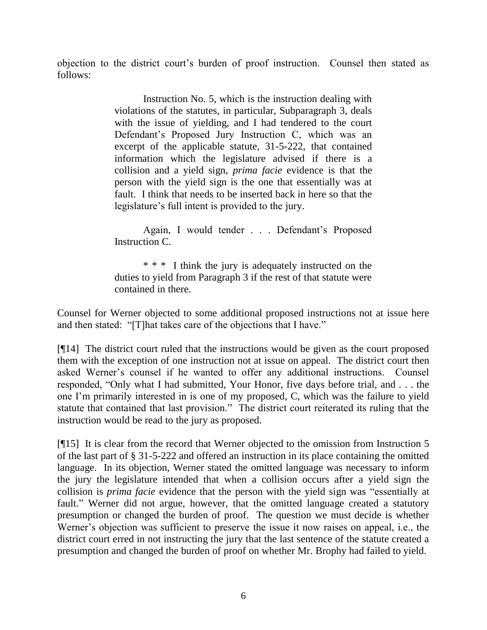objection to the district court's burden of proof instruction. Counsel then stated as follows:

> Instruction No. 5, which is the instruction dealing with violations of the statutes, in particular, Subparagraph 3, deals with the issue of yielding, and I had tendered to the court Defendant's Proposed Jury Instruction C, which was an excerpt of the applicable statute, 31-5-222, that contained information which the legislature advised if there is a collision and a yield sign, *prima facie* evidence is that the person with the yield sign is the one that essentially was at fault. I think that needs to be inserted back in here so that the legislature's full intent is provided to the jury.

> Again, I would tender . . . Defendant's Proposed Instruction C.

> \* \* \* I think the jury is adequately instructed on the duties to yield from Paragraph 3 if the rest of that statute were contained in there.

Counsel for Werner objected to some additional proposed instructions not at issue here and then stated: "[T]hat takes care of the objections that I have."

[¶14] The district court ruled that the instructions would be given as the court proposed them with the exception of one instruction not at issue on appeal. The district court then asked Werner's counsel if he wanted to offer any additional instructions. Counsel responded, "Only what I had submitted, Your Honor, five days before trial, and . . . the one I'm primarily interested in is one of my proposed, C, which was the failure to yield statute that contained that last provision." The district court reiterated its ruling that the instruction would be read to the jury as proposed.

[¶15] It is clear from the record that Werner objected to the omission from Instruction 5 of the last part of § 31-5-222 and offered an instruction in its place containing the omitted language. In its objection, Werner stated the omitted language was necessary to inform the jury the legislature intended that when a collision occurs after a yield sign the collision is *prima facie* evidence that the person with the yield sign was "essentially at fault." Werner did not argue, however, that the omitted language created a statutory presumption or changed the burden of proof. The question we must decide is whether Werner's objection was sufficient to preserve the issue it now raises on appeal, i.e., the district court erred in not instructing the jury that the last sentence of the statute created a presumption and changed the burden of proof on whether Mr. Brophy had failed to yield.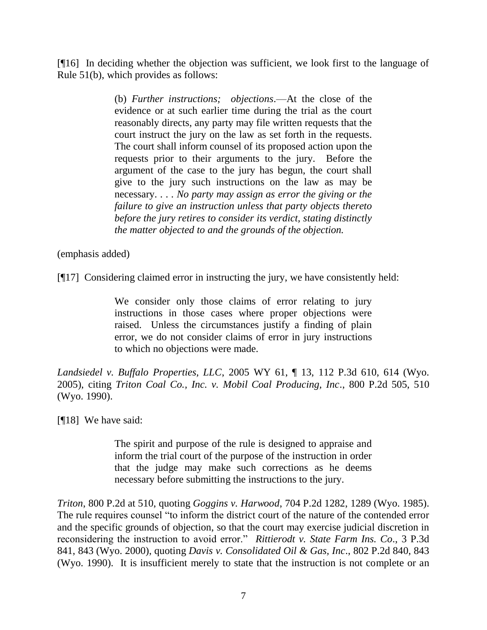[¶16] In deciding whether the objection was sufficient, we look first to the language of Rule 51(b), which provides as follows:

> (b) *Further instructions; objections*.—At the close of the evidence or at such earlier time during the trial as the court reasonably directs, any party may file written requests that the court instruct the jury on the law as set forth in the requests. The court shall inform counsel of its proposed action upon the requests prior to their arguments to the jury. Before the argument of the case to the jury has begun, the court shall give to the jury such instructions on the law as may be necessary. . . . *No party may assign as error the giving or the failure to give an instruction unless that party objects thereto before the jury retires to consider its verdict, stating distinctly the matter objected to and the grounds of the objection.*

(emphasis added)

[¶17] Considering claimed error in instructing the jury, we have consistently held:

We consider only those claims of error relating to jury instructions in those cases where proper objections were raised. Unless the circumstances justify a finding of plain error, we do not consider claims of error in jury instructions to which no objections were made.

*Landsiedel v. Buffalo Properties, LLC*, 2005 WY 61, ¶ 13, 112 P.3d 610, 614 (Wyo. 2005), citing *Triton Coal Co., Inc. v. Mobil Coal Producing, Inc*., 800 P.2d 505, 510 (Wyo. 1990).

[¶18] We have said:

The spirit and purpose of the rule is designed to appraise and inform the trial court of the purpose of the instruction in order that the judge may make such corrections as he deems necessary before submitting the instructions to the jury.

*Triton*, 800 P.2d at 510, quoting *Goggins v. Harwood*, 704 P.2d 1282, 1289 (Wyo. 1985). The rule requires counsel "to inform the district court of the nature of the contended error and the specific grounds of objection, so that the court may exercise judicial discretion in reconsidering the instruction to avoid error." Rittierodt v. State Farm Ins. Co., 3 P.3d 841, 843 (Wyo. 2000), quoting *Davis v. Consolidated Oil & Gas, Inc*., 802 P.2d 840, 843 (Wyo. 1990). It is insufficient merely to state that the instruction is not complete or an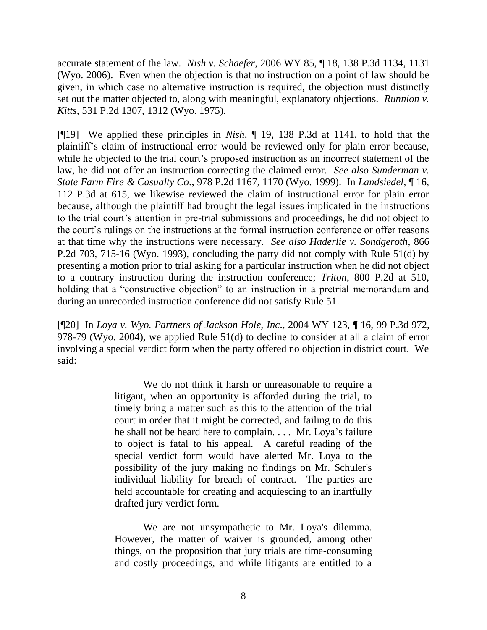accurate statement of the law. *Nish v. Schaefer*, 2006 WY 85, ¶ 18, 138 P.3d 1134, 1131 (Wyo. 2006). Even when the objection is that no instruction on a point of law should be given, in which case no alternative instruction is required, the objection must distinctly set out the matter objected to, along with meaningful, explanatory objections. *Runnion v. Kitts*, 531 P.2d 1307, 1312 (Wyo. 1975).

[¶19] We applied these principles in *Nish,* ¶ 19, 138 P.3d at 1141, to hold that the plaintiff's claim of instructional error would be reviewed only for plain error because, while he objected to the trial court's proposed instruction as an incorrect statement of the law, he did not offer an instruction correcting the claimed error. *See also Sunderman v. State Farm Fire & Casualty Co*., 978 P.2d 1167, 1170 (Wyo. 1999). In *Landsiedel*, ¶ 16, 112 P.3d at 615, we likewise reviewed the claim of instructional error for plain error because, although the plaintiff had brought the legal issues implicated in the instructions to the trial court's attention in pre-trial submissions and proceedings, he did not object to the court's rulings on the instructions at the formal instruction conference or offer reasons at that time why the instructions were necessary. *See also Haderlie v. Sondgeroth*, 866 P.2d 703, 715-16 (Wyo. 1993), concluding the party did not comply with Rule 51(d) by presenting a motion prior to trial asking for a particular instruction when he did not object to a contrary instruction during the instruction conference; *Triton*, 800 P.2d at 510, holding that a "constructive objection" to an instruction in a pretrial memorandum and during an unrecorded instruction conference did not satisfy Rule 51.

[¶20] In *Loya v. Wyo. Partners of Jackson Hole, Inc*., 2004 WY 123, ¶ 16, 99 P.3d 972, 978-79 (Wyo. 2004), we applied Rule 51(d) to decline to consider at all a claim of error involving a special verdict form when the party offered no objection in district court. We said:

> We do not think it harsh or unreasonable to require a litigant, when an opportunity is afforded during the trial, to timely bring a matter such as this to the attention of the trial court in order that it might be corrected, and failing to do this he shall not be heard here to complain. . . . Mr. Loya's failure to object is fatal to his appeal. A careful reading of the special verdict form would have alerted Mr. Loya to the possibility of the jury making no findings on Mr. Schuler's individual liability for breach of contract. The parties are held accountable for creating and acquiescing to an inartfully drafted jury verdict form.

> We are not unsympathetic to Mr. Loya's dilemma. However, the matter of waiver is grounded, among other things, on the proposition that jury trials are time-consuming and costly proceedings, and while litigants are entitled to a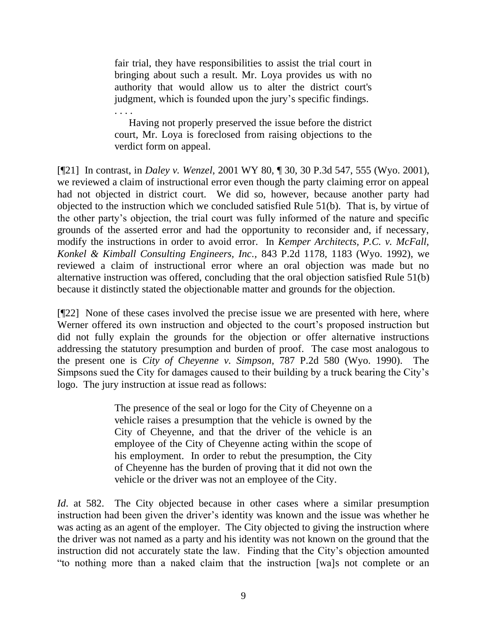fair trial, they have responsibilities to assist the trial court in bringing about such a result. Mr. Loya provides us with no authority that would allow us to alter the district court's judgment, which is founded upon the jury's specific findings. . . . .

Having not properly preserved the issue before the district court, Mr. Loya is foreclosed from raising objections to the verdict form on appeal.

[¶21] In contrast, in *Daley v. Wenzel*, 2001 WY 80, ¶ 30, 30 P.3d 547, 555 (Wyo. 2001), we reviewed a claim of instructional error even though the party claiming error on appeal had not objected in district court. We did so, however, because another party had objected to the instruction which we concluded satisfied Rule 51(b). That is, by virtue of the other party's objection, the trial court was fully informed of the nature and specific grounds of the asserted error and had the opportunity to reconsider and, if necessary, modify the instructions in order to avoid error. In *Kemper Architects, P.C. v. McFall, Konkel & Kimball Consulting Engineers, Inc.,* 843 P.2d 1178, 1183 (Wyo. 1992), we reviewed a claim of instructional error where an oral objection was made but no alternative instruction was offered, concluding that the oral objection satisfied Rule 51(b) because it distinctly stated the objectionable matter and grounds for the objection.

[¶22] None of these cases involved the precise issue we are presented with here, where Werner offered its own instruction and objected to the court's proposed instruction but did not fully explain the grounds for the objection or offer alternative instructions addressing the statutory presumption and burden of proof. The case most analogous to the present one is *City of Cheyenne v. Simpson*, 787 P.2d 580 (Wyo. 1990). The Simpsons sued the City for damages caused to their building by a truck bearing the City's logo. The jury instruction at issue read as follows:

> The presence of the seal or logo for the City of Cheyenne on a vehicle raises a presumption that the vehicle is owned by the City of Cheyenne, and that the driver of the vehicle is an employee of the City of Cheyenne acting within the scope of his employment. In order to rebut the presumption, the City of Cheyenne has the burden of proving that it did not own the vehicle or the driver was not an employee of the City.

*Id.* at 582. The City objected because in other cases where a similar presumption instruction had been given the driver's identity was known and the issue was whether he was acting as an agent of the employer. The City objected to giving the instruction where the driver was not named as a party and his identity was not known on the ground that the instruction did not accurately state the law. Finding that the City's objection amounted ―to nothing more than a naked claim that the instruction [wa]s not complete or an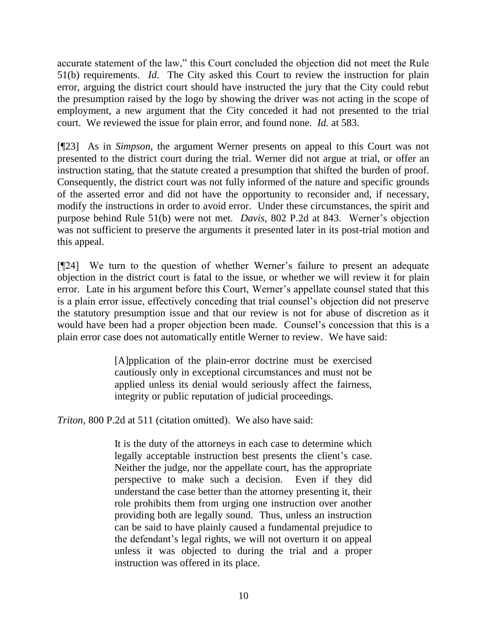accurate statement of the law," this Court concluded the objection did not meet the Rule 51(b) requirements. *Id*. The City asked this Court to review the instruction for plain error, arguing the district court should have instructed the jury that the City could rebut the presumption raised by the logo by showing the driver was not acting in the scope of employment, a new argument that the City conceded it had not presented to the trial court. We reviewed the issue for plain error, and found none. *Id.* at 583.

[¶23] As in *Simpson*, the argument Werner presents on appeal to this Court was not presented to the district court during the trial. Werner did not argue at trial, or offer an instruction stating, that the statute created a presumption that shifted the burden of proof. Consequently, the district court was not fully informed of the nature and specific grounds of the asserted error and did not have the opportunity to reconsider and, if necessary, modify the instructions in order to avoid error. Under these circumstances, the spirit and purpose behind Rule 51(b) were not met. *Davis*, 802 P.2d at 843. Werner's objection was not sufficient to preserve the arguments it presented later in its post-trial motion and this appeal.

[¶24] We turn to the question of whether Werner's failure to present an adequate objection in the district court is fatal to the issue, or whether we will review it for plain error. Late in his argument before this Court, Werner's appellate counsel stated that this is a plain error issue, effectively conceding that trial counsel's objection did not preserve the statutory presumption issue and that our review is not for abuse of discretion as it would have been had a proper objection been made. Counsel's concession that this is a plain error case does not automatically entitle Werner to review. We have said:

> [A]pplication of the plain-error doctrine must be exercised cautiously only in exceptional circumstances and must not be applied unless its denial would seriously affect the fairness, integrity or public reputation of judicial proceedings.

*Triton*, 800 P.2d at 511 (citation omitted). We also have said:

It is the duty of the attorneys in each case to determine which legally acceptable instruction best presents the client's case. Neither the judge, nor the appellate court, has the appropriate perspective to make such a decision. Even if they did understand the case better than the attorney presenting it, their role prohibits them from urging one instruction over another providing both are legally sound. Thus, unless an instruction can be said to have plainly caused a fundamental prejudice to the defendant's legal rights, we will not overturn it on appeal unless it was objected to during the trial and a proper instruction was offered in its place.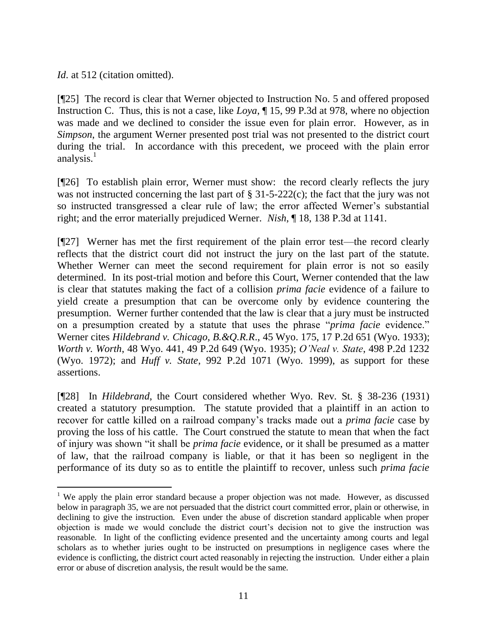*Id.* at 512 (citation omitted).

[¶25] The record is clear that Werner objected to Instruction No. 5 and offered proposed Instruction C. Thus, this is not a case, like *Loya*, ¶ 15, 99 P.3d at 978, where no objection was made and we declined to consider the issue even for plain error. However, as in *Simpson*, the argument Werner presented post trial was not presented to the district court during the trial. In accordance with this precedent, we proceed with the plain error analysis. $<sup>1</sup>$ </sup>

[¶26] To establish plain error, Werner must show: the record clearly reflects the jury was not instructed concerning the last part of § 31-5-222(c); the fact that the jury was not so instructed transgressed a clear rule of law; the error affected Werner's substantial right; and the error materially prejudiced Werner. *Nish*, ¶ 18, 138 P.3d at 1141.

[¶27] Werner has met the first requirement of the plain error test—the record clearly reflects that the district court did not instruct the jury on the last part of the statute. Whether Werner can meet the second requirement for plain error is not so easily determined. In its post-trial motion and before this Court, Werner contended that the law is clear that statutes making the fact of a collision *prima facie* evidence of a failure to yield create a presumption that can be overcome only by evidence countering the presumption. Werner further contended that the law is clear that a jury must be instructed on a presumption created by a statute that uses the phrase "*prima facie* evidence." Werner cites *Hildebrand v. Chicago, B.&Q.R.R*., 45 Wyo. 175, 17 P.2d 651 (Wyo. 1933); *Worth v. Worth*, 48 Wyo. 441, 49 P.2d 649 (Wyo. 1935); *O'Neal v. State*, 498 P.2d 1232 (Wyo. 1972); and *Huff v. State*, 992 P.2d 1071 (Wyo. 1999), as support for these assertions.

[¶28] In *Hildebrand*, the Court considered whether Wyo. Rev. St. § 38-236 (1931) created a statutory presumption. The statute provided that a plaintiff in an action to recover for cattle killed on a railroad company's tracks made out a *prima facie* case by proving the loss of his cattle. The Court construed the statute to mean that when the fact of injury was shown "it shall be *prima facie* evidence, or it shall be presumed as a matter of law, that the railroad company is liable, or that it has been so negligent in the performance of its duty so as to entitle the plaintiff to recover, unless such *prima facie*

 $\overline{a}$ <sup>1</sup> We apply the plain error standard because a proper objection was not made. However, as discussed below in paragraph 35, we are not persuaded that the district court committed error, plain or otherwise, in declining to give the instruction. Even under the abuse of discretion standard applicable when proper objection is made we would conclude the district court's decision not to give the instruction was reasonable. In light of the conflicting evidence presented and the uncertainty among courts and legal scholars as to whether juries ought to be instructed on presumptions in negligence cases where the evidence is conflicting, the district court acted reasonably in rejecting the instruction. Under either a plain error or abuse of discretion analysis, the result would be the same.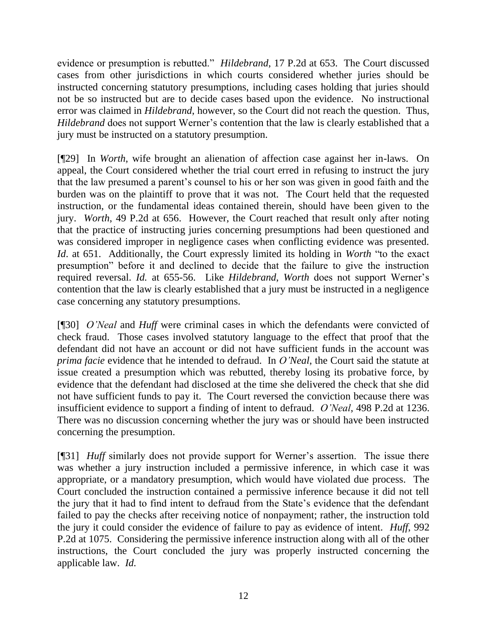evidence or presumption is rebutted." *Hildebrand*, 17 P.2d at 653. The Court discussed cases from other jurisdictions in which courts considered whether juries should be instructed concerning statutory presumptions, including cases holding that juries should not be so instructed but are to decide cases based upon the evidence. No instructional error was claimed in *Hildebrand*, however, so the Court did not reach the question. Thus, *Hildebrand* does not support Werner's contention that the law is clearly established that a jury must be instructed on a statutory presumption.

[¶29] In *Worth*, wife brought an alienation of affection case against her in-laws. On appeal, the Court considered whether the trial court erred in refusing to instruct the jury that the law presumed a parent's counsel to his or her son was given in good faith and the burden was on the plaintiff to prove that it was not. The Court held that the requested instruction, or the fundamental ideas contained therein, should have been given to the jury. *Worth*, 49 P.2d at 656. However, the Court reached that result only after noting that the practice of instructing juries concerning presumptions had been questioned and was considered improper in negligence cases when conflicting evidence was presented. *Id.* at 651. Additionally, the Court expressly limited its holding in *Worth* "to the exact presumption" before it and declined to decide that the failure to give the instruction required reversal. *Id.* at 655-56. Like *Hildebrand*, *Worth* does not support Werner's contention that the law is clearly established that a jury must be instructed in a negligence case concerning any statutory presumptions.

[¶30] *O'Neal* and *Huff* were criminal cases in which the defendants were convicted of check fraud. Those cases involved statutory language to the effect that proof that the defendant did not have an account or did not have sufficient funds in the account was *prima facie* evidence that he intended to defraud. In *O'Neal*, the Court said the statute at issue created a presumption which was rebutted, thereby losing its probative force, by evidence that the defendant had disclosed at the time she delivered the check that she did not have sufficient funds to pay it. The Court reversed the conviction because there was insufficient evidence to support a finding of intent to defraud. *O'Neal*, 498 P.2d at 1236. There was no discussion concerning whether the jury was or should have been instructed concerning the presumption.

[¶31] *Huff* similarly does not provide support for Werner's assertion. The issue there was whether a jury instruction included a permissive inference, in which case it was appropriate, or a mandatory presumption, which would have violated due process. The Court concluded the instruction contained a permissive inference because it did not tell the jury that it had to find intent to defraud from the State's evidence that the defendant failed to pay the checks after receiving notice of nonpayment; rather, the instruction told the jury it could consider the evidence of failure to pay as evidence of intent. *Huff*, 992 P.2d at 1075. Considering the permissive inference instruction along with all of the other instructions, the Court concluded the jury was properly instructed concerning the applicable law. *Id.*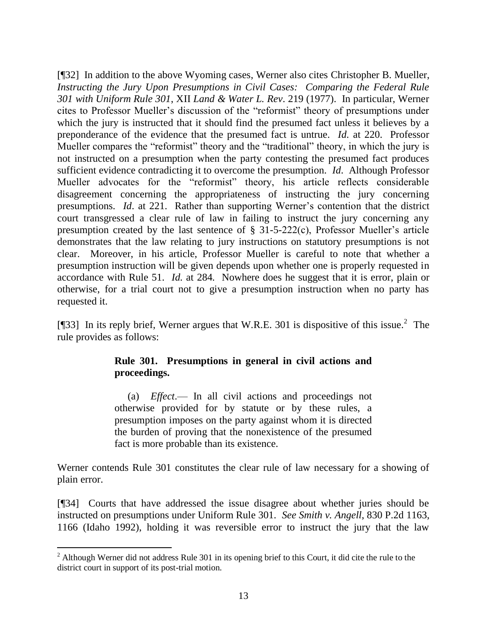[¶32] In addition to the above Wyoming cases, Werner also cites Christopher B. Mueller, *Instructing the Jury Upon Presumptions in Civil Cases: Comparing the Federal Rule 301 with Uniform Rule 301*, XII *Land & Water L. Rev*. 219 (1977). In particular, Werner cites to Professor Mueller's discussion of the "reformist" theory of presumptions under which the jury is instructed that it should find the presumed fact unless it believes by a preponderance of the evidence that the presumed fact is untrue. *Id.* at 220. Professor Mueller compares the "reformist" theory and the "traditional" theory, in which the jury is not instructed on a presumption when the party contesting the presumed fact produces sufficient evidence contradicting it to overcome the presumption. *Id*. Although Professor Mueller advocates for the "reformist" theory, his article reflects considerable disagreement concerning the appropriateness of instructing the jury concerning presumptions. *Id*. at 221. Rather than supporting Werner's contention that the district court transgressed a clear rule of law in failing to instruct the jury concerning any presumption created by the last sentence of § 31-5-222(c), Professor Mueller's article demonstrates that the law relating to jury instructions on statutory presumptions is not clear. Moreover, in his article, Professor Mueller is careful to note that whether a presumption instruction will be given depends upon whether one is properly requested in accordance with Rule 51. *Id*. at 284. Nowhere does he suggest that it is error, plain or otherwise, for a trial court not to give a presumption instruction when no party has requested it.

[¶33] In its reply brief, Werner argues that W.R.E. 301 is dispositive of this issue.<sup>2</sup> The rule provides as follows:

## **Rule 301. Presumptions in general in civil actions and proceedings.**

 (a) *Effect*.— In all civil actions and proceedings not otherwise provided for by statute or by these rules, a presumption imposes on the party against whom it is directed the burden of proving that the nonexistence of the presumed fact is more probable than its existence.

Werner contends Rule 301 constitutes the clear rule of law necessary for a showing of plain error.

[¶34] Courts that have addressed the issue disagree about whether juries should be instructed on presumptions under Uniform Rule 301. *See Smith v. Angell*, 830 P.2d 1163, 1166 (Idaho 1992), holding it was reversible error to instruct the jury that the law

 $\overline{a}$ 

 $2$  Although Werner did not address Rule 301 in its opening brief to this Court, it did cite the rule to the district court in support of its post-trial motion.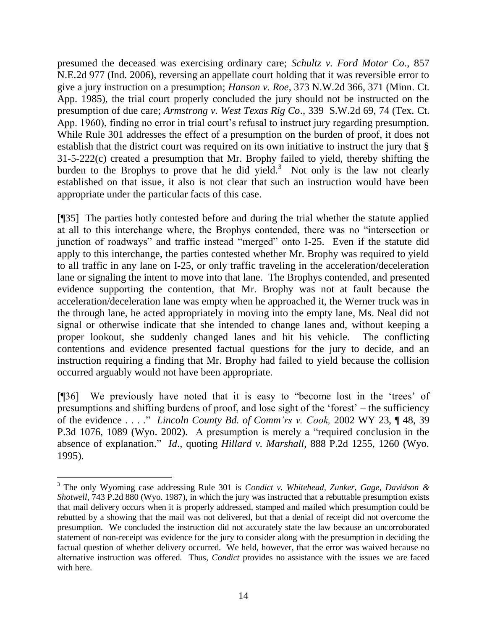presumed the deceased was exercising ordinary care; *Schultz v. Ford Motor Co*., 857 N.E.2d 977 (Ind. 2006), reversing an appellate court holding that it was reversible error to give a jury instruction on a presumption; *Hanson v. Roe*, 373 N.W.2d 366, 371 (Minn. Ct. App. 1985), the trial court properly concluded the jury should not be instructed on the presumption of due care; *Armstrong v. West Texas Rig Co*., 339 S.W.2d 69, 74 (Tex. Ct. App. 1960), finding no error in trial court's refusal to instruct jury regarding presumption. While Rule 301 addresses the effect of a presumption on the burden of proof, it does not establish that the district court was required on its own initiative to instruct the jury that § 31-5-222(c) created a presumption that Mr. Brophy failed to yield, thereby shifting the burden to the Brophys to prove that he did yield.<sup>3</sup> Not only is the law not clearly established on that issue, it also is not clear that such an instruction would have been appropriate under the particular facts of this case.

[¶35] The parties hotly contested before and during the trial whether the statute applied at all to this interchange where, the Brophys contended, there was no "intersection or junction of roadways" and traffic instead "merged" onto I-25. Even if the statute did apply to this interchange, the parties contested whether Mr. Brophy was required to yield to all traffic in any lane on I-25, or only traffic traveling in the acceleration/deceleration lane or signaling the intent to move into that lane. The Brophys contended, and presented evidence supporting the contention, that Mr. Brophy was not at fault because the acceleration/deceleration lane was empty when he approached it, the Werner truck was in the through lane, he acted appropriately in moving into the empty lane, Ms. Neal did not signal or otherwise indicate that she intended to change lanes and, without keeping a proper lookout, she suddenly changed lanes and hit his vehicle. The conflicting contentions and evidence presented factual questions for the jury to decide, and an instruction requiring a finding that Mr. Brophy had failed to yield because the collision occurred arguably would not have been appropriate.

[¶36] We previously have noted that it is easy to "become lost in the 'trees' of presumptions and shifting burdens of proof, and lose sight of the 'forest' – the sufficiency of the evidence . . . ." *Lincoln County Bd. of Comm'rs v. Cook,* 2002 WY 23, ¶48, 39 P.3d 1076, 1089 (Wyo. 2002). A presumption is merely a "required conclusion in the absence of explanation." *Id.*, quoting *Hillard v. Marshall*, 888 P.2d 1255, 1260 (Wyo. 1995).

 $\overline{a}$ 

<sup>3</sup> The only Wyoming case addressing Rule 301 is *Condict v. Whitehead, Zunker, Gage, Davidson & Shotwell*, 743 P.2d 880 (Wyo. 1987), in which the jury was instructed that a rebuttable presumption exists that mail delivery occurs when it is properly addressed, stamped and mailed which presumption could be rebutted by a showing that the mail was not delivered, but that a denial of receipt did not overcome the presumption. We concluded the instruction did not accurately state the law because an uncorroborated statement of non-receipt was evidence for the jury to consider along with the presumption in deciding the factual question of whether delivery occurred. We held, however, that the error was waived because no alternative instruction was offered. Thus, *Condict* provides no assistance with the issues we are faced with here.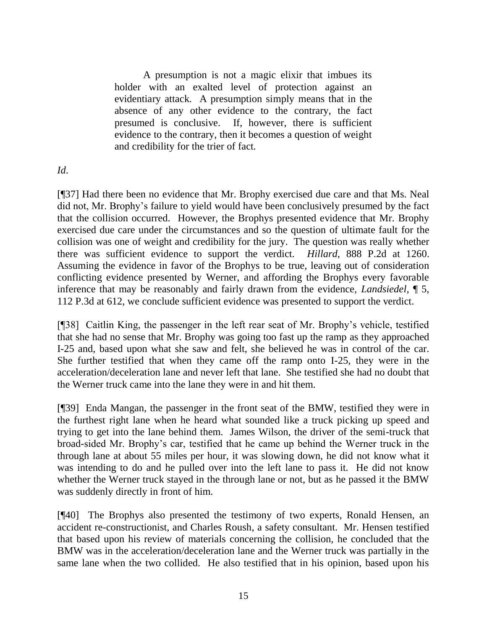A presumption is not a magic elixir that imbues its holder with an exalted level of protection against an evidentiary attack. A presumption simply means that in the absence of any other evidence to the contrary, the fact presumed is conclusive. If, however, there is sufficient evidence to the contrary, then it becomes a question of weight and credibility for the trier of fact.

*Id*.

[¶37] Had there been no evidence that Mr. Brophy exercised due care and that Ms. Neal did not, Mr. Brophy's failure to yield would have been conclusively presumed by the fact that the collision occurred. However, the Brophys presented evidence that Mr. Brophy exercised due care under the circumstances and so the question of ultimate fault for the collision was one of weight and credibility for the jury. The question was really whether there was sufficient evidence to support the verdict. *Hillard*, 888 P.2d at 1260. Assuming the evidence in favor of the Brophys to be true, leaving out of consideration conflicting evidence presented by Werner, and affording the Brophys every favorable inference that may be reasonably and fairly drawn from the evidence, *Landsiedel*, ¶ 5, 112 P.3d at 612, we conclude sufficient evidence was presented to support the verdict.

[¶38] Caitlin King, the passenger in the left rear seat of Mr. Brophy's vehicle, testified that she had no sense that Mr. Brophy was going too fast up the ramp as they approached I-25 and, based upon what she saw and felt, she believed he was in control of the car. She further testified that when they came off the ramp onto I-25, they were in the acceleration/deceleration lane and never left that lane. She testified she had no doubt that the Werner truck came into the lane they were in and hit them.

[¶39] Enda Mangan, the passenger in the front seat of the BMW, testified they were in the furthest right lane when he heard what sounded like a truck picking up speed and trying to get into the lane behind them. James Wilson, the driver of the semi-truck that broad-sided Mr. Brophy's car, testified that he came up behind the Werner truck in the through lane at about 55 miles per hour, it was slowing down, he did not know what it was intending to do and he pulled over into the left lane to pass it. He did not know whether the Werner truck stayed in the through lane or not, but as he passed it the BMW was suddenly directly in front of him.

[¶40] The Brophys also presented the testimony of two experts, Ronald Hensen, an accident re-constructionist, and Charles Roush, a safety consultant. Mr. Hensen testified that based upon his review of materials concerning the collision, he concluded that the BMW was in the acceleration/deceleration lane and the Werner truck was partially in the same lane when the two collided. He also testified that in his opinion, based upon his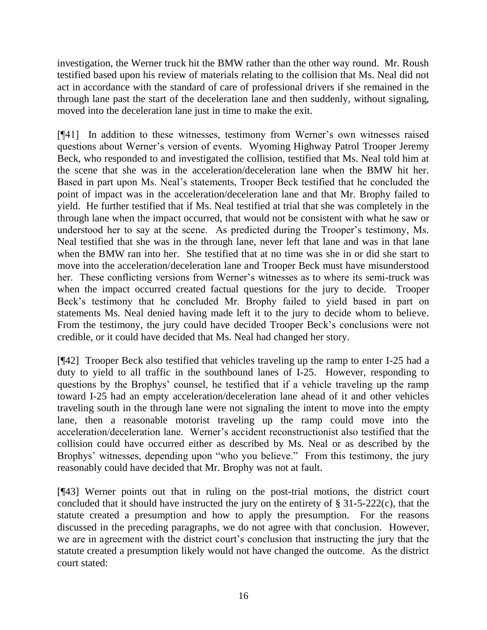investigation, the Werner truck hit the BMW rather than the other way round. Mr. Roush testified based upon his review of materials relating to the collision that Ms. Neal did not act in accordance with the standard of care of professional drivers if she remained in the through lane past the start of the deceleration lane and then suddenly, without signaling, moved into the deceleration lane just in time to make the exit.

[¶41] In addition to these witnesses, testimony from Werner's own witnesses raised questions about Werner's version of events. Wyoming Highway Patrol Trooper Jeremy Beck, who responded to and investigated the collision, testified that Ms. Neal told him at the scene that she was in the acceleration/deceleration lane when the BMW hit her. Based in part upon Ms. Neal's statements, Trooper Beck testified that he concluded the point of impact was in the acceleration/deceleration lane and that Mr. Brophy failed to yield. He further testified that if Ms. Neal testified at trial that she was completely in the through lane when the impact occurred, that would not be consistent with what he saw or understood her to say at the scene. As predicted during the Trooper's testimony, Ms. Neal testified that she was in the through lane, never left that lane and was in that lane when the BMW ran into her. She testified that at no time was she in or did she start to move into the acceleration/deceleration lane and Trooper Beck must have misunderstood her. These conflicting versions from Werner's witnesses as to where its semi-truck was when the impact occurred created factual questions for the jury to decide. Trooper Beck's testimony that he concluded Mr. Brophy failed to yield based in part on statements Ms. Neal denied having made left it to the jury to decide whom to believe. From the testimony, the jury could have decided Trooper Beck's conclusions were not credible, or it could have decided that Ms. Neal had changed her story.

[¶42] Trooper Beck also testified that vehicles traveling up the ramp to enter I-25 had a duty to yield to all traffic in the southbound lanes of I-25. However, responding to questions by the Brophys' counsel, he testified that if a vehicle traveling up the ramp toward I-25 had an empty acceleration/deceleration lane ahead of it and other vehicles traveling south in the through lane were not signaling the intent to move into the empty lane, then a reasonable motorist traveling up the ramp could move into the acceleration/deceleration lane. Werner's accident reconstructionist also testified that the collision could have occurred either as described by Ms. Neal or as described by the Brophys' witnesses, depending upon "who you believe." From this testimony, the jury reasonably could have decided that Mr. Brophy was not at fault.

[¶43] Werner points out that in ruling on the post-trial motions, the district court concluded that it should have instructed the jury on the entirety of § 31-5-222(c), that the statute created a presumption and how to apply the presumption. For the reasons discussed in the preceding paragraphs, we do not agree with that conclusion. However, we are in agreement with the district court's conclusion that instructing the jury that the statute created a presumption likely would not have changed the outcome. As the district court stated: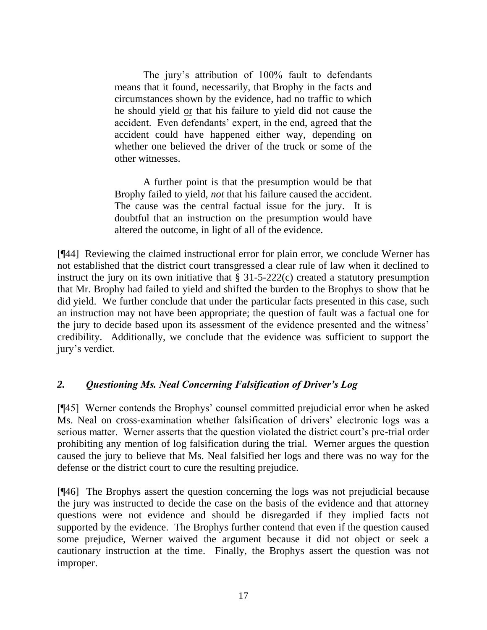The jury's attribution of 100% fault to defendants means that it found, necessarily, that Brophy in the facts and circumstances shown by the evidence, had no traffic to which he should yield or that his failure to yield did not cause the accident. Even defendants' expert, in the end, agreed that the accident could have happened either way, depending on whether one believed the driver of the truck or some of the other witnesses.

A further point is that the presumption would be that Brophy failed to yield, *not* that his failure caused the accident. The cause was the central factual issue for the jury. It is doubtful that an instruction on the presumption would have altered the outcome, in light of all of the evidence.

[¶44] Reviewing the claimed instructional error for plain error, we conclude Werner has not established that the district court transgressed a clear rule of law when it declined to instruct the jury on its own initiative that § 31-5-222(c) created a statutory presumption that Mr. Brophy had failed to yield and shifted the burden to the Brophys to show that he did yield. We further conclude that under the particular facts presented in this case, such an instruction may not have been appropriate; the question of fault was a factual one for the jury to decide based upon its assessment of the evidence presented and the witness' credibility. Additionally, we conclude that the evidence was sufficient to support the jury's verdict.

## *2. Questioning Ms. Neal Concerning Falsification of Driver's Log*

[¶45] Werner contends the Brophys' counsel committed prejudicial error when he asked Ms. Neal on cross-examination whether falsification of drivers' electronic logs was a serious matter. Werner asserts that the question violated the district court's pre-trial order prohibiting any mention of log falsification during the trial. Werner argues the question caused the jury to believe that Ms. Neal falsified her logs and there was no way for the defense or the district court to cure the resulting prejudice.

[¶46] The Brophys assert the question concerning the logs was not prejudicial because the jury was instructed to decide the case on the basis of the evidence and that attorney questions were not evidence and should be disregarded if they implied facts not supported by the evidence. The Brophys further contend that even if the question caused some prejudice, Werner waived the argument because it did not object or seek a cautionary instruction at the time. Finally, the Brophys assert the question was not improper.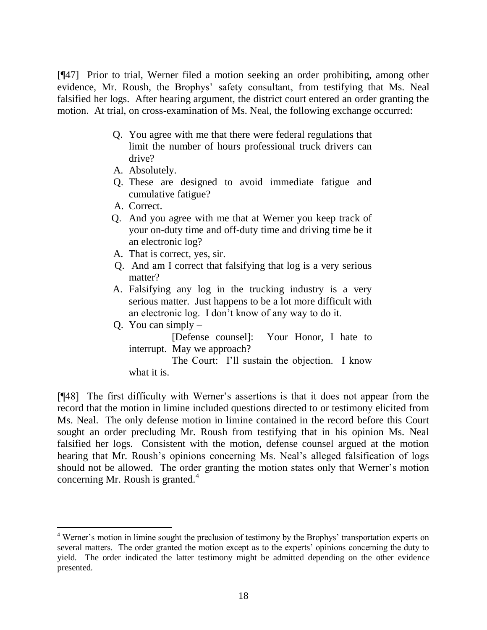[¶47] Prior to trial, Werner filed a motion seeking an order prohibiting, among other evidence, Mr. Roush, the Brophys' safety consultant, from testifying that Ms. Neal falsified her logs. After hearing argument, the district court entered an order granting the motion. At trial, on cross-examination of Ms. Neal, the following exchange occurred:

- Q. You agree with me that there were federal regulations that limit the number of hours professional truck drivers can drive?
- A. Absolutely.
- Q. These are designed to avoid immediate fatigue and cumulative fatigue?
- A. Correct.
- Q. And you agree with me that at Werner you keep track of your on-duty time and off-duty time and driving time be it an electronic log?
- A. That is correct, yes, sir.
- Q. And am I correct that falsifying that log is a very serious matter?
- A. Falsifying any log in the trucking industry is a very serious matter. Just happens to be a lot more difficult with an electronic log. I don't know of any way to do it.
- Q. You can simply  $-$

[Defense counsel]: Your Honor, I hate to interrupt. May we approach?

The Court: I'll sustain the objection. I know what it is.

[¶48] The first difficulty with Werner's assertions is that it does not appear from the record that the motion in limine included questions directed to or testimony elicited from Ms. Neal. The only defense motion in limine contained in the record before this Court sought an order precluding Mr. Roush from testifying that in his opinion Ms. Neal falsified her logs. Consistent with the motion, defense counsel argued at the motion hearing that Mr. Roush's opinions concerning Ms. Neal's alleged falsification of logs should not be allowed. The order granting the motion states only that Werner's motion concerning Mr. Roush is granted. $4$ 

 $\overline{a}$ <sup>4</sup> Werner's motion in limine sought the preclusion of testimony by the Brophys' transportation experts on several matters. The order granted the motion except as to the experts' opinions concerning the duty to yield. The order indicated the latter testimony might be admitted depending on the other evidence presented.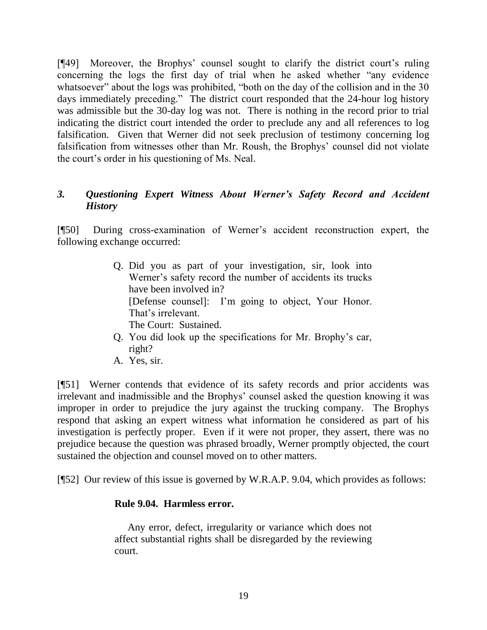[¶49] Moreover, the Brophys' counsel sought to clarify the district court's ruling concerning the logs the first day of trial when he asked whether "any evidence" whatsoever" about the logs was prohibited, "both on the day of the collision and in the 30 days immediately preceding." The district court responded that the 24-hour log history was admissible but the 30-day log was not. There is nothing in the record prior to trial indicating the district court intended the order to preclude any and all references to log falsification. Given that Werner did not seek preclusion of testimony concerning log falsification from witnesses other than Mr. Roush, the Brophys' counsel did not violate the court's order in his questioning of Ms. Neal.

## *3. Questioning Expert Witness About Werner's Safety Record and Accident History*

[¶50] During cross-examination of Werner's accident reconstruction expert, the following exchange occurred:

- Q. Did you as part of your investigation, sir, look into Werner's safety record the number of accidents its trucks have been involved in? [Defense counsel]: I'm going to object, Your Honor. That's irrelevant. The Court: Sustained.
- Q. You did look up the specifications for Mr. Brophy's car, right?
- A. Yes, sir.

[¶51] Werner contends that evidence of its safety records and prior accidents was irrelevant and inadmissible and the Brophys' counsel asked the question knowing it was improper in order to prejudice the jury against the trucking company. The Brophys respond that asking an expert witness what information he considered as part of his investigation is perfectly proper. Even if it were not proper, they assert, there was no prejudice because the question was phrased broadly, Werner promptly objected, the court sustained the objection and counsel moved on to other matters.

[¶52] Our review of this issue is governed by W.R.A.P. 9.04, which provides as follows:

## **Rule 9.04. Harmless error.**

 Any error, defect, irregularity or variance which does not affect substantial rights shall be disregarded by the reviewing court.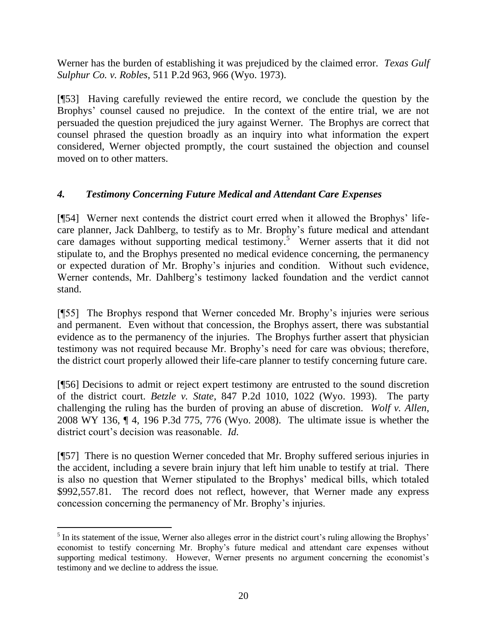Werner has the burden of establishing it was prejudiced by the claimed error. *Texas Gulf Sulphur Co. v. Robles*, 511 P.2d 963, 966 (Wyo. 1973).

[¶53] Having carefully reviewed the entire record, we conclude the question by the Brophys' counsel caused no prejudice. In the context of the entire trial, we are not persuaded the question prejudiced the jury against Werner. The Brophys are correct that counsel phrased the question broadly as an inquiry into what information the expert considered, Werner objected promptly, the court sustained the objection and counsel moved on to other matters.

## *4. Testimony Concerning Future Medical and Attendant Care Expenses*

[¶54] Werner next contends the district court erred when it allowed the Brophys' lifecare planner, Jack Dahlberg, to testify as to Mr. Brophy's future medical and attendant care damages without supporting medical testimony.<sup>5</sup> Werner asserts that it did not stipulate to, and the Brophys presented no medical evidence concerning, the permanency or expected duration of Mr. Brophy's injuries and condition. Without such evidence, Werner contends, Mr. Dahlberg's testimony lacked foundation and the verdict cannot stand.

[¶55] The Brophys respond that Werner conceded Mr. Brophy's injuries were serious and permanent. Even without that concession, the Brophys assert, there was substantial evidence as to the permanency of the injuries. The Brophys further assert that physician testimony was not required because Mr. Brophy's need for care was obvious; therefore, the district court properly allowed their life-care planner to testify concerning future care.

[¶56] Decisions to admit or reject expert testimony are entrusted to the sound discretion of the district court. *Betzle v. State*, 847 P.2d 1010, 1022 (Wyo. 1993). The party challenging the ruling has the burden of proving an abuse of discretion. *Wolf v. Allen*, 2008 WY 136, ¶ 4, 196 P.3d 775, 776 (Wyo. 2008). The ultimate issue is whether the district court's decision was reasonable. *Id*.

[¶57] There is no question Werner conceded that Mr. Brophy suffered serious injuries in the accident, including a severe brain injury that left him unable to testify at trial. There is also no question that Werner stipulated to the Brophys' medical bills, which totaled \$992,557.81. The record does not reflect, however, that Werner made any express concession concerning the permanency of Mr. Brophy's injuries.

 $\overline{a}$  $<sup>5</sup>$  In its statement of the issue, Werner also alleges error in the district court's ruling allowing the Brophys'</sup> economist to testify concerning Mr. Brophy's future medical and attendant care expenses without supporting medical testimony. However, Werner presents no argument concerning the economist's testimony and we decline to address the issue.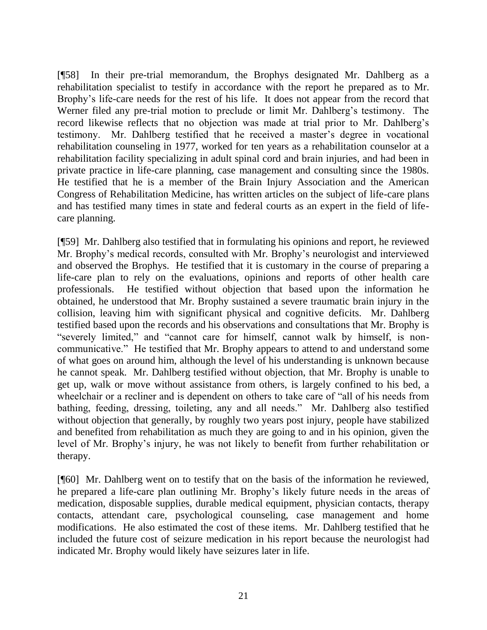[¶58] In their pre-trial memorandum, the Brophys designated Mr. Dahlberg as a rehabilitation specialist to testify in accordance with the report he prepared as to Mr. Brophy's life-care needs for the rest of his life. It does not appear from the record that Werner filed any pre-trial motion to preclude or limit Mr. Dahlberg's testimony. The record likewise reflects that no objection was made at trial prior to Mr. Dahlberg's testimony. Mr. Dahlberg testified that he received a master's degree in vocational rehabilitation counseling in 1977, worked for ten years as a rehabilitation counselor at a rehabilitation facility specializing in adult spinal cord and brain injuries, and had been in private practice in life-care planning, case management and consulting since the 1980s. He testified that he is a member of the Brain Injury Association and the American Congress of Rehabilitation Medicine, has written articles on the subject of life-care plans and has testified many times in state and federal courts as an expert in the field of lifecare planning.

[¶59] Mr. Dahlberg also testified that in formulating his opinions and report, he reviewed Mr. Brophy's medical records, consulted with Mr. Brophy's neurologist and interviewed and observed the Brophys. He testified that it is customary in the course of preparing a life-care plan to rely on the evaluations, opinions and reports of other health care professionals. He testified without objection that based upon the information he obtained, he understood that Mr. Brophy sustained a severe traumatic brain injury in the collision, leaving him with significant physical and cognitive deficits. Mr. Dahlberg testified based upon the records and his observations and consultations that Mr. Brophy is "severely limited," and "cannot care for himself, cannot walk by himself, is noncommunicative." He testified that Mr. Brophy appears to attend to and understand some of what goes on around him, although the level of his understanding is unknown because he cannot speak. Mr. Dahlberg testified without objection, that Mr. Brophy is unable to get up, walk or move without assistance from others, is largely confined to his bed, a wheelchair or a recliner and is dependent on others to take care of "all of his needs from bathing, feeding, dressing, toileting, any and all needs." Mr. Dahlberg also testified without objection that generally, by roughly two years post injury, people have stabilized and benefited from rehabilitation as much they are going to and in his opinion, given the level of Mr. Brophy's injury, he was not likely to benefit from further rehabilitation or therapy.

[¶60] Mr. Dahlberg went on to testify that on the basis of the information he reviewed, he prepared a life-care plan outlining Mr. Brophy's likely future needs in the areas of medication, disposable supplies, durable medical equipment, physician contacts, therapy contacts, attendant care, psychological counseling, case management and home modifications. He also estimated the cost of these items. Mr. Dahlberg testified that he included the future cost of seizure medication in his report because the neurologist had indicated Mr. Brophy would likely have seizures later in life.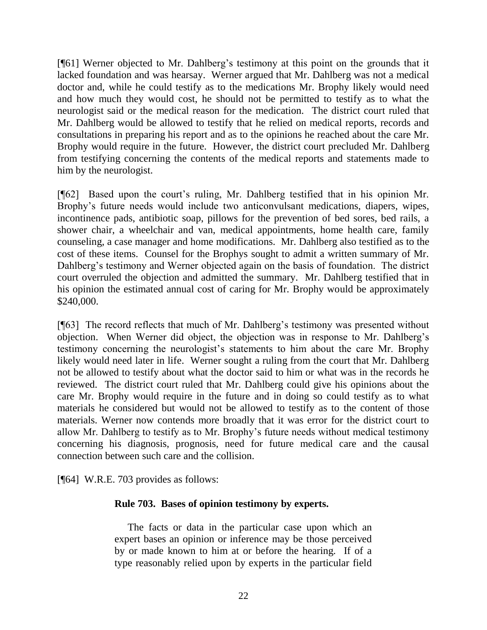[¶61] Werner objected to Mr. Dahlberg's testimony at this point on the grounds that it lacked foundation and was hearsay. Werner argued that Mr. Dahlberg was not a medical doctor and, while he could testify as to the medications Mr. Brophy likely would need and how much they would cost, he should not be permitted to testify as to what the neurologist said or the medical reason for the medication. The district court ruled that Mr. Dahlberg would be allowed to testify that he relied on medical reports, records and consultations in preparing his report and as to the opinions he reached about the care Mr. Brophy would require in the future. However, the district court precluded Mr. Dahlberg from testifying concerning the contents of the medical reports and statements made to him by the neurologist.

[¶62] Based upon the court's ruling, Mr. Dahlberg testified that in his opinion Mr. Brophy's future needs would include two anticonvulsant medications, diapers, wipes, incontinence pads, antibiotic soap, pillows for the prevention of bed sores, bed rails, a shower chair, a wheelchair and van, medical appointments, home health care, family counseling, a case manager and home modifications. Mr. Dahlberg also testified as to the cost of these items. Counsel for the Brophys sought to admit a written summary of Mr. Dahlberg's testimony and Werner objected again on the basis of foundation. The district court overruled the objection and admitted the summary. Mr. Dahlberg testified that in his opinion the estimated annual cost of caring for Mr. Brophy would be approximately \$240,000.

[¶63] The record reflects that much of Mr. Dahlberg's testimony was presented without objection. When Werner did object, the objection was in response to Mr. Dahlberg's testimony concerning the neurologist's statements to him about the care Mr. Brophy likely would need later in life. Werner sought a ruling from the court that Mr. Dahlberg not be allowed to testify about what the doctor said to him or what was in the records he reviewed. The district court ruled that Mr. Dahlberg could give his opinions about the care Mr. Brophy would require in the future and in doing so could testify as to what materials he considered but would not be allowed to testify as to the content of those materials. Werner now contends more broadly that it was error for the district court to allow Mr. Dahlberg to testify as to Mr. Brophy's future needs without medical testimony concerning his diagnosis, prognosis, need for future medical care and the causal connection between such care and the collision.

[¶64] W.R.E. 703 provides as follows:

#### **Rule 703. Bases of opinion testimony by experts.**

 The facts or data in the particular case upon which an expert bases an opinion or inference may be those perceived by or made known to him at or before the hearing. If of a type reasonably relied upon by experts in the particular field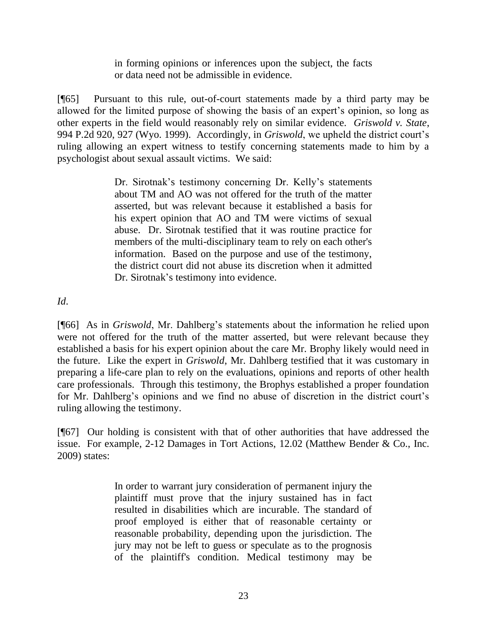in forming opinions or inferences upon the subject, the facts or data need not be admissible in evidence.

[¶65] Pursuant to this rule, out-of-court statements made by a third party may be allowed for the limited purpose of showing the basis of an expert's opinion, so long as other experts in the field would reasonably rely on similar evidence. *Griswold v. State*, 994 P.2d 920, 927 (Wyo. 1999). Accordingly, in *Griswold*, we upheld the district court's ruling allowing an expert witness to testify concerning statements made to him by a psychologist about sexual assault victims. We said:

> Dr. Sirotnak's testimony concerning Dr. Kelly's statements about TM and AO was not offered for the truth of the matter asserted, but was relevant because it established a basis for his expert opinion that AO and TM were victims of sexual abuse. Dr. Sirotnak testified that it was routine practice for members of the multi-disciplinary team to rely on each other's information. Based on the purpose and use of the testimony, the district court did not abuse its discretion when it admitted Dr. Sirotnak's testimony into evidence.

*Id*.

[¶66] As in *Griswold*, Mr. Dahlberg's statements about the information he relied upon were not offered for the truth of the matter asserted, but were relevant because they established a basis for his expert opinion about the care Mr. Brophy likely would need in the future. Like the expert in *Griswold*, Mr. Dahlberg testified that it was customary in preparing a life-care plan to rely on the evaluations, opinions and reports of other health care professionals. Through this testimony, the Brophys established a proper foundation for Mr. Dahlberg's opinions and we find no abuse of discretion in the district court's ruling allowing the testimony.

[¶67] Our holding is consistent with that of other authorities that have addressed the issue. For example, 2-12 Damages in Tort Actions, 12.02 (Matthew Bender & Co., Inc. 2009) states:

> In order to warrant jury consideration of permanent injury the plaintiff must prove that the injury sustained has in fact resulted in disabilities which are incurable. The standard of proof employed is either that of reasonable certainty or reasonable probability, depending upon the jurisdiction. The jury may not be left to guess or speculate as to the prognosis of the plaintiff's condition. Medical testimony may be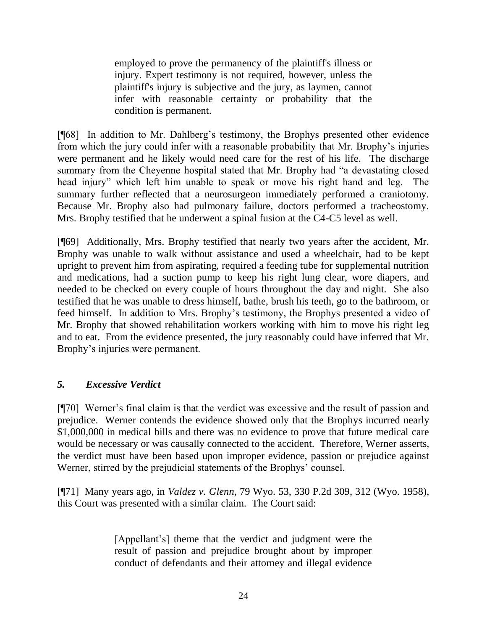employed to prove the permanency of the plaintiff's illness or injury. Expert testimony is not required, however, unless the plaintiff's injury is subjective and the jury, as laymen, cannot infer with reasonable certainty or probability that the condition is permanent.

[¶68] In addition to Mr. Dahlberg's testimony, the Brophys presented other evidence from which the jury could infer with a reasonable probability that Mr. Brophy's injuries were permanent and he likely would need care for the rest of his life. The discharge summary from the Cheyenne hospital stated that Mr. Brophy had "a devastating closed head injury" which left him unable to speak or move his right hand and leg. The summary further reflected that a neurosurgeon immediately performed a craniotomy. Because Mr. Brophy also had pulmonary failure, doctors performed a tracheostomy. Mrs. Brophy testified that he underwent a spinal fusion at the C4-C5 level as well.

[¶69] Additionally, Mrs. Brophy testified that nearly two years after the accident, Mr. Brophy was unable to walk without assistance and used a wheelchair, had to be kept upright to prevent him from aspirating, required a feeding tube for supplemental nutrition and medications, had a suction pump to keep his right lung clear, wore diapers, and needed to be checked on every couple of hours throughout the day and night. She also testified that he was unable to dress himself, bathe, brush his teeth, go to the bathroom, or feed himself. In addition to Mrs. Brophy's testimony, the Brophys presented a video of Mr. Brophy that showed rehabilitation workers working with him to move his right leg and to eat. From the evidence presented, the jury reasonably could have inferred that Mr. Brophy's injuries were permanent.

## *5. Excessive Verdict*

[¶70] Werner's final claim is that the verdict was excessive and the result of passion and prejudice. Werner contends the evidence showed only that the Brophys incurred nearly \$1,000,000 in medical bills and there was no evidence to prove that future medical care would be necessary or was causally connected to the accident. Therefore, Werner asserts, the verdict must have been based upon improper evidence, passion or prejudice against Werner, stirred by the prejudicial statements of the Brophys' counsel.

[¶71] Many years ago, in *Valdez v. Glenn*, 79 Wyo. 53, 330 P.2d 309, 312 (Wyo. 1958), this Court was presented with a similar claim. The Court said:

> [Appellant's] theme that the verdict and judgment were the result of passion and prejudice brought about by improper conduct of defendants and their attorney and illegal evidence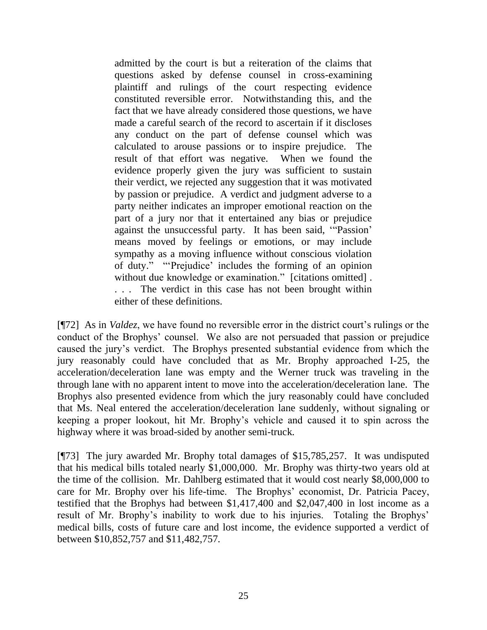admitted by the court is but a reiteration of the claims that questions asked by defense counsel in cross-examining plaintiff and rulings of the court respecting evidence constituted reversible error. Notwithstanding this, and the fact that we have already considered those questions, we have made a careful search of the record to ascertain if it discloses any conduct on the part of defense counsel which was calculated to arouse passions or to inspire prejudice. The result of that effort was negative. When we found the evidence properly given the jury was sufficient to sustain their verdict, we rejected any suggestion that it was motivated by passion or prejudice. A verdict and judgment adverse to a party neither indicates an improper emotional reaction on the part of a jury nor that it entertained any bias or prejudice against the unsuccessful party. It has been said, "Passion" means moved by feelings or emotions, or may include sympathy as a moving influence without conscious violation of duty." "Prejudice' includes the forming of an opinion without due knowledge or examination." [citations omitted]. . . . The verdict in this case has not been brought within either of these definitions.

[¶72] As in *Valdez*, we have found no reversible error in the district court's rulings or the conduct of the Brophys' counsel. We also are not persuaded that passion or prejudice caused the jury's verdict. The Brophys presented substantial evidence from which the jury reasonably could have concluded that as Mr. Brophy approached I-25, the acceleration/deceleration lane was empty and the Werner truck was traveling in the through lane with no apparent intent to move into the acceleration/deceleration lane. The Brophys also presented evidence from which the jury reasonably could have concluded that Ms. Neal entered the acceleration/deceleration lane suddenly, without signaling or keeping a proper lookout, hit Mr. Brophy's vehicle and caused it to spin across the highway where it was broad-sided by another semi-truck.

[¶73] The jury awarded Mr. Brophy total damages of \$15,785,257. It was undisputed that his medical bills totaled nearly \$1,000,000. Mr. Brophy was thirty-two years old at the time of the collision. Mr. Dahlberg estimated that it would cost nearly \$8,000,000 to care for Mr. Brophy over his life-time. The Brophys' economist, Dr. Patricia Pacey, testified that the Brophys had between \$1,417,400 and \$2,047,400 in lost income as a result of Mr. Brophy's inability to work due to his injuries. Totaling the Brophys' medical bills, costs of future care and lost income, the evidence supported a verdict of between \$10,852,757 and \$11,482,757.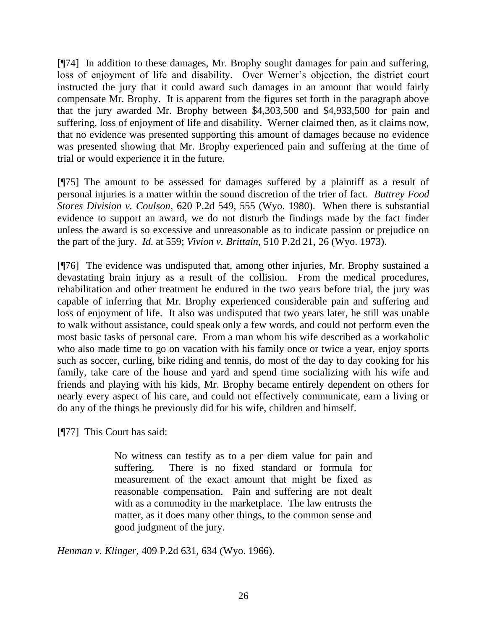[¶74] In addition to these damages, Mr. Brophy sought damages for pain and suffering, loss of enjoyment of life and disability. Over Werner's objection, the district court instructed the jury that it could award such damages in an amount that would fairly compensate Mr. Brophy. It is apparent from the figures set forth in the paragraph above that the jury awarded Mr. Brophy between \$4,303,500 and \$4,933,500 for pain and suffering, loss of enjoyment of life and disability. Werner claimed then, as it claims now, that no evidence was presented supporting this amount of damages because no evidence was presented showing that Mr. Brophy experienced pain and suffering at the time of trial or would experience it in the future.

[¶75] The amount to be assessed for damages suffered by a plaintiff as a result of personal injuries is a matter within the sound discretion of the trier of fact. *Buttrey Food Stores Division v. Coulson*, 620 P.2d 549, 555 (Wyo. 1980). When there is substantial evidence to support an award, we do not disturb the findings made by the fact finder unless the award is so excessive and unreasonable as to indicate passion or prejudice on the part of the jury. *Id*. at 559; *Vivion v. Brittain*, 510 P.2d 21, 26 (Wyo. 1973).

[¶76] The evidence was undisputed that, among other injuries, Mr. Brophy sustained a devastating brain injury as a result of the collision. From the medical procedures, rehabilitation and other treatment he endured in the two years before trial, the jury was capable of inferring that Mr. Brophy experienced considerable pain and suffering and loss of enjoyment of life. It also was undisputed that two years later, he still was unable to walk without assistance, could speak only a few words, and could not perform even the most basic tasks of personal care. From a man whom his wife described as a workaholic who also made time to go on vacation with his family once or twice a year, enjoy sports such as soccer, curling, bike riding and tennis, do most of the day to day cooking for his family, take care of the house and yard and spend time socializing with his wife and friends and playing with his kids, Mr. Brophy became entirely dependent on others for nearly every aspect of his care, and could not effectively communicate, earn a living or do any of the things he previously did for his wife, children and himself.

[¶77] This Court has said:

No witness can testify as to a per diem value for pain and suffering. There is no fixed standard or formula for measurement of the exact amount that might be fixed as reasonable compensation. Pain and suffering are not dealt with as a commodity in the marketplace. The law entrusts the matter, as it does many other things, to the common sense and good judgment of the jury.

*Henman v. Klinger*, 409 P.2d 631, 634 (Wyo. 1966).